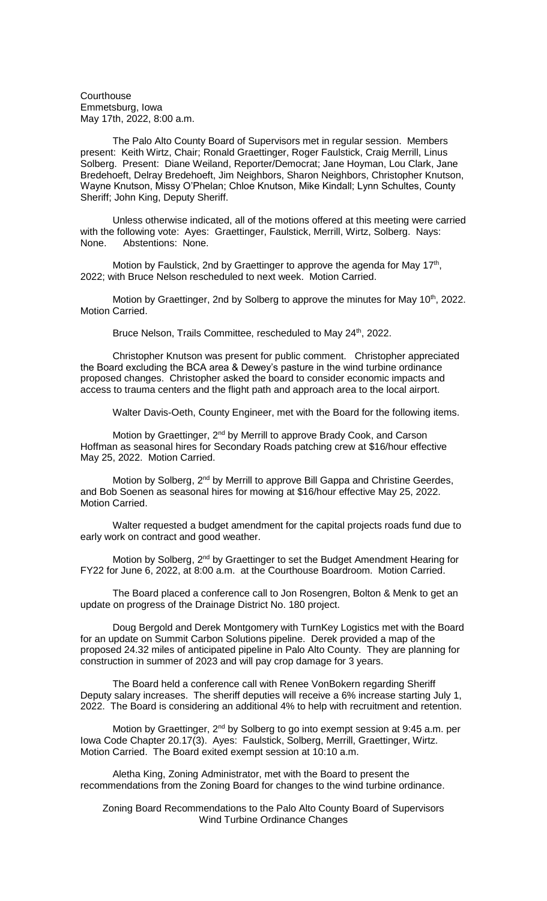**Courthouse** Emmetsburg, Iowa May 17th, 2022, 8:00 a.m.

The Palo Alto County Board of Supervisors met in regular session. Members present: Keith Wirtz, Chair; Ronald Graettinger, Roger Faulstick, Craig Merrill, Linus Solberg. Present: Diane Weiland, Reporter/Democrat; Jane Hoyman, Lou Clark, Jane Bredehoeft, Delray Bredehoeft, Jim Neighbors, Sharon Neighbors, Christopher Knutson, Wayne Knutson, Missy O'Phelan; Chloe Knutson, Mike Kindall; Lynn Schultes, County Sheriff; John King, Deputy Sheriff.

Unless otherwise indicated, all of the motions offered at this meeting were carried with the following vote: Ayes: Graettinger, Faulstick, Merrill, Wirtz, Solberg. Nays: None. Abstentions: None.

Motion by Faulstick, 2nd by Graettinger to approve the agenda for May 17<sup>th</sup>, 2022; with Bruce Nelson rescheduled to next week. Motion Carried.

Motion by Graettinger, 2nd by Solberg to approve the minutes for May 10<sup>th</sup>, 2022. Motion Carried.

Bruce Nelson, Trails Committee, rescheduled to May 24<sup>th</sup>, 2022.

Christopher Knutson was present for public comment. Christopher appreciated the Board excluding the BCA area & Dewey's pasture in the wind turbine ordinance proposed changes. Christopher asked the board to consider economic impacts and access to trauma centers and the flight path and approach area to the local airport.

Walter Davis-Oeth, County Engineer, met with the Board for the following items.

Motion by Graettinger, 2<sup>nd</sup> by Merrill to approve Brady Cook, and Carson Hoffman as seasonal hires for Secondary Roads patching crew at \$16/hour effective May 25, 2022. Motion Carried.

Motion by Solberg, 2<sup>nd</sup> by Merrill to approve Bill Gappa and Christine Geerdes, and Bob Soenen as seasonal hires for mowing at \$16/hour effective May 25, 2022. Motion Carried.

Walter requested a budget amendment for the capital projects roads fund due to early work on contract and good weather.

Motion by Solberg, 2<sup>nd</sup> by Graettinger to set the Budget Amendment Hearing for FY22 for June 6, 2022, at 8:00 a.m. at the Courthouse Boardroom. Motion Carried.

The Board placed a conference call to Jon Rosengren, Bolton & Menk to get an update on progress of the Drainage District No. 180 project.

Doug Bergold and Derek Montgomery with TurnKey Logistics met with the Board for an update on Summit Carbon Solutions pipeline. Derek provided a map of the proposed 24.32 miles of anticipated pipeline in Palo Alto County. They are planning for construction in summer of 2023 and will pay crop damage for 3 years.

The Board held a conference call with Renee VonBokern regarding Sheriff Deputy salary increases. The sheriff deputies will receive a 6% increase starting July 1, 2022. The Board is considering an additional 4% to help with recruitment and retention.

Motion by Graettinger, 2<sup>nd</sup> by Solberg to go into exempt session at 9:45 a.m. per Iowa Code Chapter 20.17(3). Ayes: Faulstick, Solberg, Merrill, Graettinger, Wirtz. Motion Carried. The Board exited exempt session at 10:10 a.m.

Aletha King, Zoning Administrator, met with the Board to present the recommendations from the Zoning Board for changes to the wind turbine ordinance.

Zoning Board Recommendations to the Palo Alto County Board of Supervisors Wind Turbine Ordinance Changes